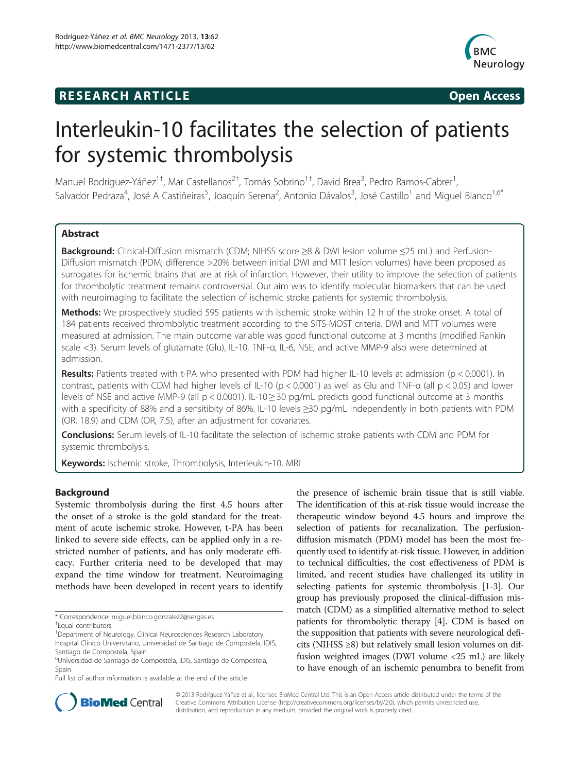# **RESEARCH ARTICLE Example 2014 CONSIDERING CONSIDERING CONSIDERING CONSIDERING CONSIDERING CONSIDERING CONSIDERING CONSIDERING CONSIDERING CONSIDERING CONSIDERING CONSIDERING CONSIDERING CONSIDERING CONSIDERING CONSIDE**



# Interleukin-10 facilitates the selection of patients for systemic thrombolysis

Manuel Rodríguez-Yáñez<sup>1†</sup>, Mar Castellanos<sup>2†</sup>, Tomás Sobrino<sup>1†</sup>, David Brea<sup>3</sup>, Pedro Ramos-Cabrer<sup>1</sup> , Salvador Pedraza<sup>4</sup>, José A Castiñeiras<sup>5</sup>, Joaquín Serena<sup>2</sup>, Antonio Dávalos<sup>3</sup>, José Castillo<sup>1</sup> and Miguel Blanco<sup>1,6\*</sup>

# Abstract

Background: Clinical-Diffusion mismatch (CDM; NIHSS score ≥8 & DWI lesion volume ≤25 mL) and Perfusion-Diffusion mismatch (PDM; difference >20% between initial DWI and MTT lesion volumes) have been proposed as surrogates for ischemic brains that are at risk of infarction. However, their utility to improve the selection of patients for thrombolytic treatment remains controversial. Our aim was to identify molecular biomarkers that can be used with neuroimaging to facilitate the selection of ischemic stroke patients for systemic thrombolysis.

Methods: We prospectively studied 595 patients with ischemic stroke within 12 h of the stroke onset. A total of 184 patients received thrombolytic treatment according to the SITS-MOST criteria. DWI and MTT volumes were measured at admission. The main outcome variable was good functional outcome at 3 months (modified Rankin scale <3). Serum levels of glutamate (Glu), IL-10, TNF-α, IL-6, NSE, and active MMP-9 also were determined at admission.

Results: Patients treated with t-PA who presented with PDM had higher IL-10 levels at admission (p < 0.0001). In contrast, patients with CDM had higher levels of IL-10 (p < 0.0001) as well as Glu and TNF-α (all p < 0.05) and lower levels of NSE and active MMP-9 (all p < 0.0001). IL-10 ≥ 30 pg/mL predicts good functional outcome at 3 months with a specificity of 88% and a sensitibity of 86%. IL-10 levels ≥30 pg/mL independently in both patients with PDM (OR, 18.9) and CDM (OR, 7.5), after an adjustment for covariates.

**Conclusions:** Serum levels of IL-10 facilitate the selection of ischemic stroke patients with CDM and PDM for systemic thrombolysis.

Keywords: Ischemic stroke, Thrombolysis, Interleukin-10, MRI

# Background

Systemic thrombolysis during the first 4.5 hours after the onset of a stroke is the gold standard for the treatment of acute ischemic stroke. However, t-PA has been linked to severe side effects, can be applied only in a restricted number of patients, and has only moderate efficacy. Further criteria need to be developed that may expand the time window for treatment. Neuroimaging methods have been developed in recent years to identify

the presence of ischemic brain tissue that is still viable. The identification of this at-risk tissue would increase the therapeutic window beyond 4.5 hours and improve the selection of patients for recanalization. The perfusiondiffusion mismatch (PDM) model has been the most frequently used to identify at-risk tissue. However, in addition to technical difficulties, the cost effectiveness of PDM is limited, and recent studies have challenged its utility in selecting patients for systemic thrombolysis [\[1](#page-6-0)-[3](#page-6-0)]. Our group has previously proposed the clinical-diffusion mismatch (CDM) as a simplified alternative method to select patients for thrombolytic therapy [\[4](#page-6-0)]. CDM is based on the supposition that patients with severe neurological deficits (NIHSS ≥8) but relatively small lesion volumes on diffusion weighted images (DWI volume <25 mL) are likely to have enough of an ischemic penumbra to benefit from



© 2013 Rodríguez-Yáñez et al.; licensee BioMed Central Ltd. This is an Open Access article distributed under the terms of the Creative Commons Attribution License (<http://creativecommons.org/licenses/by/2.0>), which permits unrestricted use, distribution, and reproduction in any medium, provided the original work is properly cited.

<sup>\*</sup> Correspondence: [miguel.blanco.gonzalez2@sergas.es](mailto:miguel.blanco.gonzalez2@sergas.es) †

Equal contributors

<sup>&</sup>lt;sup>1</sup>Department of Neurology, Clinical Neurosciences Research Laboratory, Hospital Clínico Universitario, Universidad de Santiago de Compostela, IDIS, Santiago de Compostela, Spain

<sup>6</sup> Universidad de Santiago de Compostela, IDIS, Santiago de Compostela, Spain

Full list of author information is available at the end of the article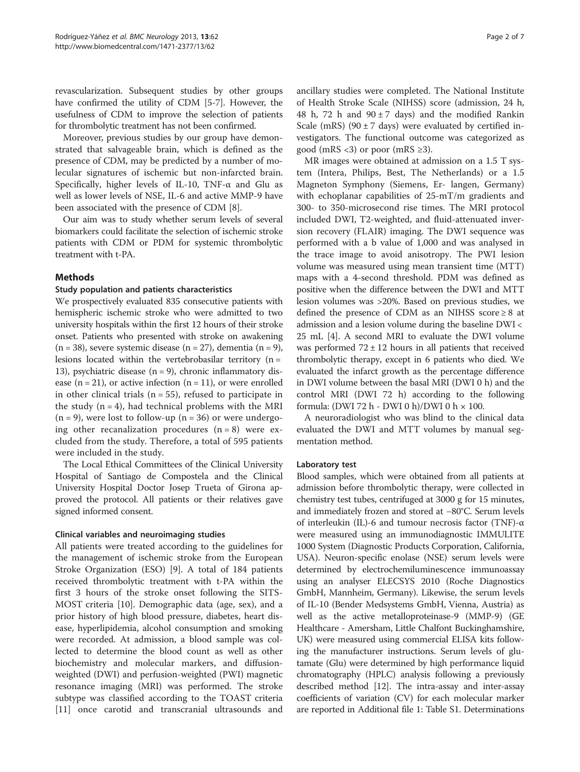revascularization. Subsequent studies by other groups have confirmed the utility of CDM [\[5-7](#page-6-0)]. However, the usefulness of CDM to improve the selection of patients for thrombolytic treatment has not been confirmed.

Moreover, previous studies by our group have demonstrated that salvageable brain, which is defined as the presence of CDM, may be predicted by a number of molecular signatures of ischemic but non-infarcted brain. Specifically, higher levels of IL-10, TNF- $\alpha$  and Glu as well as lower levels of NSE, IL-6 and active MMP-9 have been associated with the presence of CDM [\[8](#page-6-0)].

Our aim was to study whether serum levels of several biomarkers could facilitate the selection of ischemic stroke patients with CDM or PDM for systemic thrombolytic treatment with t-PA.

# Methods

#### Study population and patients characteristics

We prospectively evaluated 835 consecutive patients with hemispheric ischemic stroke who were admitted to two university hospitals within the first 12 hours of their stroke onset. Patients who presented with stroke on awakening  $(n = 38)$ , severe systemic disease  $(n = 27)$ , dementia  $(n = 9)$ , lesions located within the vertebrobasilar territory  $(n =$ 13), psychiatric disease  $(n = 9)$ , chronic inflammatory disease  $(n = 21)$ , or active infection  $(n = 11)$ , or were enrolled in other clinical trials ( $n = 55$ ), refused to participate in the study  $(n = 4)$ , had technical problems with the MRI  $(n = 9)$ , were lost to follow-up  $(n = 36)$  or were undergoing other recanalization procedures  $(n = 8)$  were excluded from the study. Therefore, a total of 595 patients were included in the study.

The Local Ethical Committees of the Clinical University Hospital of Santiago de Compostela and the Clinical University Hospital Doctor Josep Trueta of Girona approved the protocol. All patients or their relatives gave signed informed consent.

#### Clinical variables and neuroimaging studies

All patients were treated according to the guidelines for the management of ischemic stroke from the European Stroke Organization (ESO) [[9\]](#page-6-0). A total of 184 patients received thrombolytic treatment with t-PA within the first 3 hours of the stroke onset following the SITS-MOST criteria [[10\]](#page-6-0). Demographic data (age, sex), and a prior history of high blood pressure, diabetes, heart disease, hyperlipidemia, alcohol consumption and smoking were recorded. At admission, a blood sample was collected to determine the blood count as well as other biochemistry and molecular markers, and diffusionweighted (DWI) and perfusion-weighted (PWI) magnetic resonance imaging (MRI) was performed. The stroke subtype was classified according to the TOAST criteria [[11\]](#page-6-0) once carotid and transcranial ultrasounds and

ancillary studies were completed. The National Institute of Health Stroke Scale (NIHSS) score (admission, 24 h, 48 h, 72 h and  $90 \pm 7$  days) and the modified Rankin Scale (mRS) (90  $\pm$  7 days) were evaluated by certified investigators. The functional outcome was categorized as good (mRS <3) or poor (mRS  $\geq$ 3).

MR images were obtained at admission on a 1.5 T system (Intera, Philips, Best, The Netherlands) or a 1.5 Magneton Symphony (Siemens, Er- langen, Germany) with echoplanar capabilities of 25-mT/m gradients and 300- to 350-microsecond rise times. The MRI protocol included DWI, T2-weighted, and fluid-attenuated inversion recovery (FLAIR) imaging. The DWI sequence was performed with a b value of 1,000 and was analysed in the trace image to avoid anisotropy. The PWI lesion volume was measured using mean transient time (MTT) maps with a 4-second threshold. PDM was defined as positive when the difference between the DWI and MTT lesion volumes was >20%. Based on previous studies, we defined the presence of CDM as an NIHSS score  $\geq 8$  at admission and a lesion volume during the baseline DWI < 25 mL [\[4](#page-6-0)]. A second MRI to evaluate the DWI volume was performed  $72 \pm 12$  hours in all patients that received thrombolytic therapy, except in 6 patients who died. We evaluated the infarct growth as the percentage difference in DWI volume between the basal MRI (DWI 0 h) and the control MRI (DWI 72 h) according to the following formula: (DWI 72 h - DWI 0 h)/DWI 0 h × 100.

A neuroradiologist who was blind to the clinical data evaluated the DWI and MTT volumes by manual segmentation method.

# Laboratory test

Blood samples, which were obtained from all patients at admission before thrombolytic therapy, were collected in chemistry test tubes, centrifuged at 3000 g for 15 minutes, and immediately frozen and stored at −80°C. Serum levels of interleukin (IL)-6 and tumour necrosis factor (TNF)-α were measured using an immunodiagnostic IMMULITE 1000 System (Diagnostic Products Corporation, California, USA). Neuron-specific enolase (NSE) serum levels were determined by electrochemiluminescence immunoassay using an analyser ELECSYS 2010 (Roche Diagnostics GmbH, Mannheim, Germany). Likewise, the serum levels of IL-10 (Bender Medsystems GmbH, Vienna, Austria) as well as the active metalloproteinase-9 (MMP-9) (GE Healthcare - Amersham, Little Chalfont Buckinghamshire, UK) were measured using commercial ELISA kits following the manufacturer instructions. Serum levels of glutamate (Glu) were determined by high performance liquid chromatography (HPLC) analysis following a previously described method [\[12\]](#page-6-0). The intra-assay and inter-assay coefficients of variation (CV) for each molecular marker are reported in Additional file [1](#page-5-0): Table S1. Determinations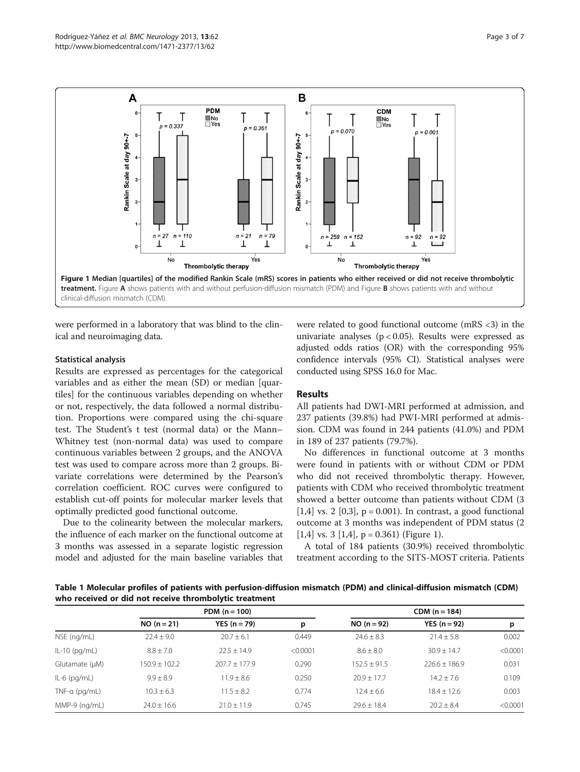<span id="page-2-0"></span>

were performed in a laboratory that was blind to the clinical and neuroimaging data.

#### Statistical analysis

Results are expressed as percentages for the categorical variables and as either the mean (SD) or median [quartiles] for the continuous variables depending on whether or not, respectively, the data followed a normal distribution. Proportions were compared using the chi-square test. The Student's t test (normal data) or the Mann– Whitney test (non-normal data) was used to compare continuous variables between 2 groups, and the ANOVA test was used to compare across more than 2 groups. Bivariate correlations were determined by the Pearson's correlation coefficient. ROC curves were configured to establish cut-off points for molecular marker levels that optimally predicted good functional outcome.

Due to the colinearity between the molecular markers, the influence of each marker on the functional outcome at 3 months was assessed in a separate logistic regression model and adjusted for the main baseline variables that

were related to good functional outcome (mRS <3) in the univariate analyses ( $p < 0.05$ ). Results were expressed as adjusted odds ratios (OR) with the corresponding 95% confidence intervals (95% CI). Statistical analyses were conducted using SPSS 16.0 for Mac.

# Results

All patients had DWI-MRI performed at admission, and 237 patients (39.8%) had PWI-MRI performed at admission. CDM was found in 244 patients (41.0%) and PDM in 189 of 237 patients (79.7%).

No differences in functional outcome at 3 months were found in patients with or without CDM or PDM who did not received thrombolytic therapy. However, patients with CDM who received thrombolytic treatment showed a better outcome than patients without CDM (3  $[1,4]$  vs. 2  $[0,3]$ , p = 0.001). In contrast, a good functional outcome at 3 months was independent of PDM status (2 [1,4] vs. 3 [1,4],  $p = 0.361$ ) (Figure 1).

A total of 184 patients (30.9%) received thrombolytic treatment according to the SITS-MOST criteria. Patients

Table 1 Molecular profiles of patients with perfusion-diffusion mismatch (PDM) and clinical-diffusion mismatch (CDM) who received or did not receive thrombolytic treatment

|                 | PDM $(n = 100)$ |                       | $CDM (n = 184)$ |                 |                 |          |
|-----------------|-----------------|-----------------------|-----------------|-----------------|-----------------|----------|
|                 | $NO (n = 21)$   | <b>YES</b> $(n = 79)$ | р               | $NO (n = 92)$   | $YES (n = 92)$  | p        |
| NSE (ng/mL)     | $72.4 + 9.0$    | $20.7 \pm 6.1$        | 0.449           | $24.6 \pm 8.3$  | $21.4 \pm 5.8$  | 0.002    |
| $IL-10$ (pg/mL) | $8.8 + 7.0$     | $22.5 + 14.9$         | < 0.0001        | $8.6 \pm 8.0$   | $30.9 + 14.7$   | < 0.0001 |
| Glutamate (µM)  | $150.9 + 102.2$ | $207.7 \pm 177.9$     | 0.290           | $152.5 + 91.5$  | $226.6 + 186.9$ | 0.031    |
| $IL-6$ (pg/mL)  | $9.9 + 8.9$     | $11.9 \pm 8.6$        | 0.250           | $20.9 + 17.7$   | $14.2 \pm 7.6$  | 0.109    |
| $TNF-a$ (pg/mL) | $10.3 + 6.3$    | $11.5 + 8.2$          | 0.774           | $12.4 + 6.6$    | $18.4 + 12.6$   | 0.003    |
| MMP-9 (ng/mL)   | $74.0 + 16.6$   | $21.0 \pm 11.9$       | 0.745           | $29.6 \pm 18.4$ | $20.2 + 8.4$    | < 0.0001 |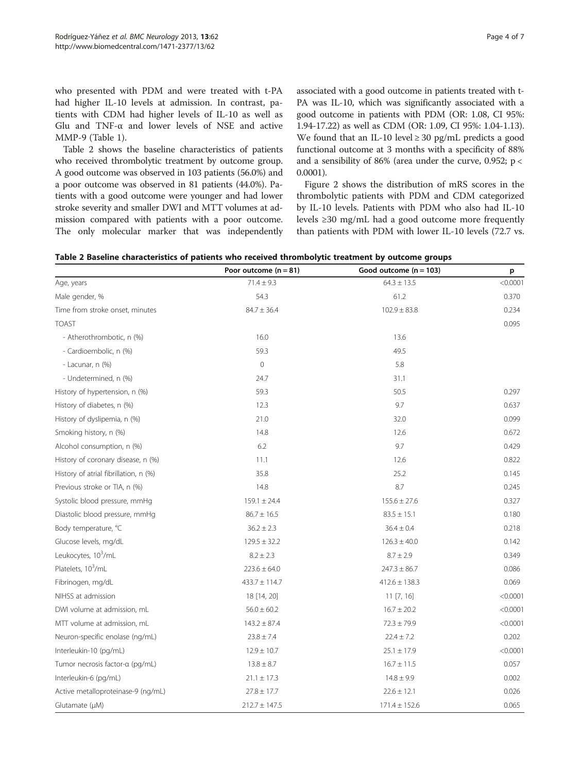who presented with PDM and were treated with t-PA had higher IL-10 levels at admission. In contrast, patients with CDM had higher levels of IL-10 as well as Glu and TNF-α and lower levels of NSE and active MMP-9 (Table [1\)](#page-2-0).

Table 2 shows the baseline characteristics of patients who received thrombolytic treatment by outcome group. A good outcome was observed in 103 patients (56.0%) and a poor outcome was observed in 81 patients (44.0%). Patients with a good outcome were younger and had lower stroke severity and smaller DWI and MTT volumes at admission compared with patients with a poor outcome. The only molecular marker that was independently

associated with a good outcome in patients treated with t-PA was IL-10, which was significantly associated with a good outcome in patients with PDM (OR: 1.08, CI 95%: 1.94-17.22) as well as CDM (OR: 1.09, CI 95%: 1.04-1.13). We found that an IL-10 level  $\geq$  30 pg/mL predicts a good functional outcome at 3 months with a specificity of 88% and a sensibility of 86% (area under the curve, 0.952; p < 0.0001).

Figure [2](#page-4-0) shows the distribution of mRS scores in the thrombolytic patients with PDM and CDM categorized by IL-10 levels. Patients with PDM who also had IL-10 levels ≥30 mg/mL had a good outcome more frequently than patients with PDM with lower IL-10 levels (72.7 vs.

| Table 2 Baseline characteristics of patients who received thrombolytic treatment by outcome groups |  |  |  |
|----------------------------------------------------------------------------------------------------|--|--|--|
|----------------------------------------------------------------------------------------------------|--|--|--|

|                                       | Poor outcome $(n = 81)$ | Good outcome $(n = 103)$ | p        |
|---------------------------------------|-------------------------|--------------------------|----------|
| Age, years                            | $71.4 \pm 9.3$          | $64.3 \pm 13.5$          | < 0.0001 |
| Male gender, %                        | 54.3                    | 61.2                     | 0.370    |
| Time from stroke onset, minutes       | $84.7 \pm 36.4$         | $102.9 \pm 83.8$         | 0.234    |
| <b>TOAST</b>                          |                         |                          | 0.095    |
| - Atherothrombotic, n (%)             | 16.0                    | 13.6                     |          |
| - Cardioembolic, n (%)                | 59.3                    | 49.5                     |          |
| - Lacunar, n (%)                      | $\circ$                 | 5.8                      |          |
| - Undetermined, n (%)                 | 24.7                    | 31.1                     |          |
| History of hypertension, n (%)        | 59.3                    | 50.5                     | 0.297    |
| History of diabetes, n (%)            | 12.3                    | 9.7                      | 0.637    |
| History of dyslipemia, n (%)          | 21.0                    | 32.0                     | 0.099    |
| Smoking history, n (%)                | 14.8                    | 12.6                     | 0.672    |
| Alcohol consumption, n (%)            | 6.2                     | 9.7                      | 0.429    |
| History of coronary disease, n (%)    | 11.1                    | 12.6                     | 0.822    |
| History of atrial fibrillation, n (%) | 35.8                    | 25.2                     | 0.145    |
| Previous stroke or TIA, n (%)         | 14.8                    | 8.7                      | 0.245    |
| Systolic blood pressure, mmHg         | $159.1 \pm 24.4$        | $155.6 \pm 27.6$         | 0.327    |
| Diastolic blood pressure, mmHg        | $86.7 \pm 16.5$         | $83.5 \pm 15.1$          | 0.180    |
| Body temperature, °C                  | $36.2 \pm 2.3$          | $36.4 \pm 0.4$           | 0.218    |
| Glucose levels, mg/dL                 | $129.5 \pm 32.2$        | $126.3 \pm 40.0$         | 0.142    |
| Leukocytes, 10 <sup>3</sup> /mL       | $8.2 \pm 2.3$           | $8.7 \pm 2.9$            | 0.349    |
| Platelets, 10 <sup>3</sup> /mL        | $223.6 \pm 64.0$        | $247.3 \pm 86.7$         | 0.086    |
| Fibrinogen, mg/dL                     | $433.7 \pm 114.7$       | $412.6 \pm 138.3$        | 0.069    |
| NIHSS at admission                    | 18 [14, 20]             | $11$ [7, 16]             | < 0.0001 |
| DWI volume at admission, mL           | $56.0 \pm 60.2$         | $16.7 \pm 20.2$          | < 0.0001 |
| MTT volume at admission, mL           | $143.2 \pm 87.4$        | $72.3 \pm 79.9$          | < 0.0001 |
| Neuron-specific enolase (ng/mL)       | $23.8 \pm 7.4$          | $22.4 \pm 7.2$           | 0.202    |
| Interleukin-10 (pg/mL)                | $12.9 \pm 10.7$         | $25.1 \pm 17.9$          | < 0.0001 |
| Tumor necrosis factor-a (pg/mL)       | $13.8 \pm 8.7$          | $16.7 \pm 11.5$          | 0.057    |
| Interleukin-6 (pg/mL)                 | $21.1 \pm 17.3$         | $14.8 \pm 9.9$           | 0.002    |
| Active metalloproteinase-9 (ng/mL)    | $27.8 \pm 17.7$         | $22.6 \pm 12.1$          | 0.026    |
| Glutamate (µM)                        | $212.7 \pm 147.5$       | $171.4 \pm 152.6$        | 0.065    |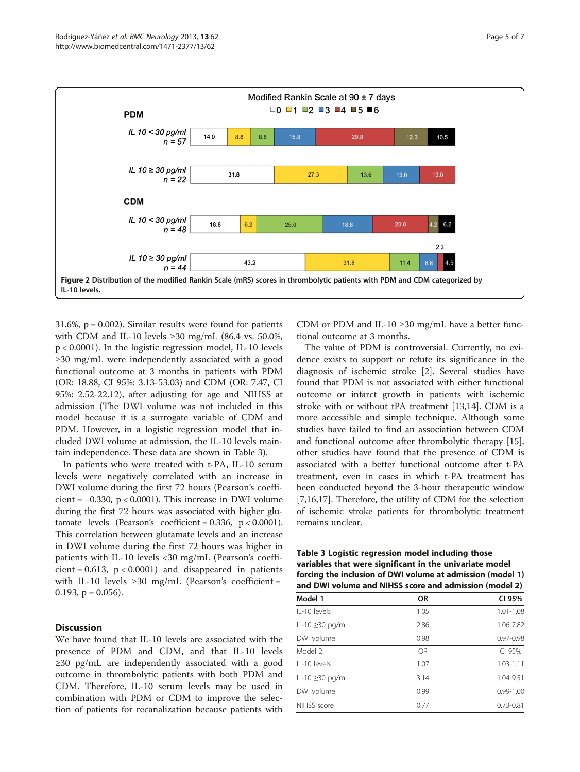<span id="page-4-0"></span>

31.6%,  $p = 0.002$ ). Similar results were found for patients with CDM and IL-10 levels  $\geq$ 30 mg/mL (86.4 vs. 50.0%, p < 0.0001). In the logistic regression model, IL-10 levels ≥30 mg/mL were independently associated with a good functional outcome at 3 months in patients with PDM (OR: 18.88, CI 95%: 3.13-53.03) and CDM (OR: 7.47, CI 95%: 2.52-22.12), after adjusting for age and NIHSS at admission (The DWI volume was not included in this model because it is a surrogate variable of CDM and PDM. However, in a logistic regression model that included DWI volume at admission, the IL-10 levels maintain independence. These data are shown in Table 3).

In patients who were treated with t-PA, IL-10 serum levels were negatively correlated with an increase in DWI volume during the first 72 hours (Pearson's coefficient =  $-0.330$ , p < 0.0001). This increase in DWI volume during the first 72 hours was associated with higher glutamate levels (Pearson's coefficient =  $0.336$ ,  $p < 0.0001$ ). This correlation between glutamate levels and an increase in DWI volume during the first 72 hours was higher in patients with IL-10 levels <30 mg/mL (Pearson's coeffi $cient = 0.613$ ,  $p < 0.0001$ ) and disappeared in patients with IL-10 levels  $\geq$ 30 mg/mL (Pearson's coefficient = 0.193,  $p = 0.056$ ).

# **Discussion**

We have found that IL-10 levels are associated with the presence of PDM and CDM, and that IL-10 levels ≥30 pg/mL are independently associated with a good outcome in thrombolytic patients with both PDM and CDM. Therefore, IL-10 serum levels may be used in combination with PDM or CDM to improve the selection of patients for recanalization because patients with CDM or PDM and IL-10 ≥30 mg/mL have a better functional outcome at 3 months.

The value of PDM is controversial. Currently, no evidence exists to support or refute its significance in the diagnosis of ischemic stroke [\[2\]](#page-6-0). Several studies have found that PDM is not associated with either functional outcome or infarct growth in patients with ischemic stroke with or without tPA treatment [\[13,14](#page-6-0)]. CDM is a more accessible and simple technique. Although some studies have failed to find an association between CDM and functional outcome after thrombolytic therapy [\[15](#page-6-0)], other studies have found that the presence of CDM is associated with a better functional outcome after t-PA treatment, even in cases in which t-PA treatment has been conducted beyond the 3-hour therapeutic window [[7,16,17\]](#page-6-0). Therefore, the utility of CDM for the selection of ischemic stroke patients for thrombolytic treatment remains unclear.

Table 3 Logistic regression model including those variables that were significant in the univariate model forcing the inclusion of DWI volume at admission (model 1) and DWI volume and NIHSS score and admission (model 2)

| Model 1          | <b>OR</b> | CI 95%        |
|------------------|-----------|---------------|
| $II - 10$ levels | 1.05      | $1.01 - 1.08$ |
| IL-10 ≥30 pg/mL  | 2.86      | 1.06-7.82     |
| DWI volume       | 0.98      | $0.97 - 0.98$ |
| Model 2          | OR        | CI 95%        |
| IL-10 levels     | 1.07      | $1.03 - 1.11$ |
| IL-10 ≥30 pg/mL  | 3.14      | 1.04-9.51     |
| DWI volume       | 0.99      | $0.99 - 1.00$ |
| NIHSS score      | 0.77      | $0.73 - 0.81$ |
|                  |           |               |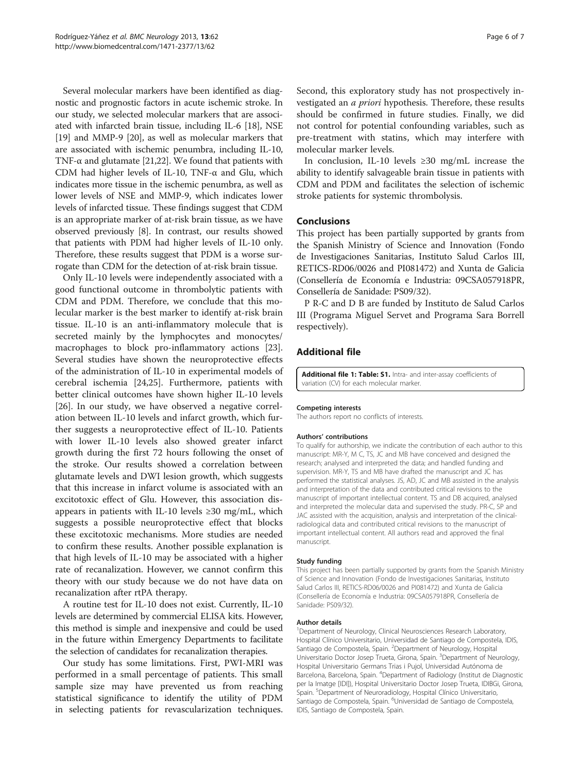<span id="page-5-0"></span>Several molecular markers have been identified as diagnostic and prognostic factors in acute ischemic stroke. In our study, we selected molecular markers that are associated with infarcted brain tissue, including IL-6 [\[18\]](#page-6-0), NSE [[19](#page-6-0)] and MMP-9 [\[20\]](#page-6-0), as well as molecular markers that are associated with ischemic penumbra, including IL-10, TNF- $\alpha$  and glutamate [\[21,22](#page-6-0)]. We found that patients with CDM had higher levels of IL-10, TNF-α and Glu, which indicates more tissue in the ischemic penumbra, as well as lower levels of NSE and MMP-9, which indicates lower levels of infarcted tissue. These findings suggest that CDM is an appropriate marker of at-risk brain tissue, as we have observed previously [\[8\]](#page-6-0). In contrast, our results showed that patients with PDM had higher levels of IL-10 only. Therefore, these results suggest that PDM is a worse surrogate than CDM for the detection of at-risk brain tissue.

Only IL-10 levels were independently associated with a good functional outcome in thrombolytic patients with CDM and PDM. Therefore, we conclude that this molecular marker is the best marker to identify at-risk brain tissue. IL-10 is an anti-inflammatory molecule that is secreted mainly by the lymphocytes and monocytes/ macrophages to block pro-inflammatory actions [\[23](#page-6-0)]. Several studies have shown the neuroprotective effects of the administration of IL-10 in experimental models of cerebral ischemia [\[24,25](#page-6-0)]. Furthermore, patients with better clinical outcomes have shown higher IL-10 levels [[26\]](#page-6-0). In our study, we have observed a negative correlation between IL-10 levels and infarct growth, which further suggests a neuroprotective effect of IL-10. Patients with lower IL-10 levels also showed greater infarct growth during the first 72 hours following the onset of the stroke. Our results showed a correlation between glutamate levels and DWI lesion growth, which suggests that this increase in infarct volume is associated with an excitotoxic effect of Glu. However, this association disappears in patients with IL-10 levels  $\geq$ 30 mg/mL, which suggests a possible neuroprotective effect that blocks these excitotoxic mechanisms. More studies are needed to confirm these results. Another possible explanation is that high levels of IL-10 may be associated with a higher rate of recanalization. However, we cannot confirm this theory with our study because we do not have data on recanalization after rtPA therapy.

A routine test for IL-10 does not exist. Currently, IL-10 levels are determined by commercial ELISA kits. However, this method is simple and inexpensive and could be used in the future within Emergency Departments to facilitate the selection of candidates for recanalization therapies.

Our study has some limitations. First, PWI-MRI was performed in a small percentage of patients. This small sample size may have prevented us from reaching statistical significance to identify the utility of PDM in selecting patients for revascularization techniques.

Second, this exploratory study has not prospectively investigated an a priori hypothesis. Therefore, these results should be confirmed in future studies. Finally, we did not control for potential confounding variables, such as pre-treatment with statins, which may interfere with molecular marker levels.

In conclusion, IL-10 levels  $\geq 30$  mg/mL increase the ability to identify salvageable brain tissue in patients with CDM and PDM and facilitates the selection of ischemic stroke patients for systemic thrombolysis.

#### **Conclusions**

This project has been partially supported by grants from the Spanish Ministry of Science and Innovation (Fondo de Investigaciones Sanitarias, Instituto Salud Carlos III, RETICS-RD06/0026 and PI081472) and Xunta de Galicia (Consellería de Economía e Industria: 09CSA057918PR, Consellería de Sanidade: PS09/32).

P R-C and D B are funded by Instituto de Salud Carlos III (Programa Miguel Servet and Programa Sara Borrell respectively).

# Additional file

[Additional file 1: Table: S1.](http://www.biomedcentral.com/content/supplementary/1471-2377-13-62-S1.doc) Intra- and inter-assay coefficients of variation (CV) for each molecular marker.

#### Competing interests

The authors report no conflicts of interests.

#### Authors' contributions

To qualify for authorship, we indicate the contribution of each author to this manuscript: MR-Y, M C, TS, JC and MB have conceived and designed the research; analysed and interpreted the data; and handled funding and supervision. MR-Y, TS and MB have drafted the manuscript and JC has performed the statistical analyses. JS, AD, JC and MB assisted in the analysis and interpretation of the data and contributed critical revisions to the manuscript of important intellectual content. TS and DB acquired, analysed and interpreted the molecular data and supervised the study. PR-C, SP and JAC assisted with the acquisition, analysis and interpretation of the clinicalradiological data and contributed critical revisions to the manuscript of important intellectual content. All authors read and approved the final manuscript.

#### Study funding

This project has been partially supported by grants from the Spanish Ministry of Science and Innovation (Fondo de Investigaciones Sanitarias, Instituto Salud Carlos III, RETICS-RD06/0026 and PI081472) and Xunta de Galicia (Consellería de Economía e Industria: 09CSA057918PR, Consellería de Sanidade: PS09/32).

#### Author details

<sup>1</sup>Department of Neurology, Clinical Neurosciences Research Laboratory, Hospital Clínico Universitario, Universidad de Santiago de Compostela, IDIS, Santiago de Compostela, Spain. <sup>2</sup>Department of Neurology, Hospital Universitario Doctor Josep Trueta, Girona, Spain. <sup>3</sup>Department of Neurology, Hospital Universitario Germans Trias i Pujol, Universidad Autónoma de Barcelona, Barcelona, Spain. <sup>4</sup>Department of Radiology (Institut de Diagnostic per la Imatge [IDI]), Hospital Universitario Doctor Josep Trueta, IDIBGi, Girona, Spain. <sup>5</sup>Department of Neuroradiology, Hospital Clínico Universitario, Santiago de Compostela, Spain. <sup>6</sup>Universidad de Santiago de Compostela IDIS, Santiago de Compostela, Spain.